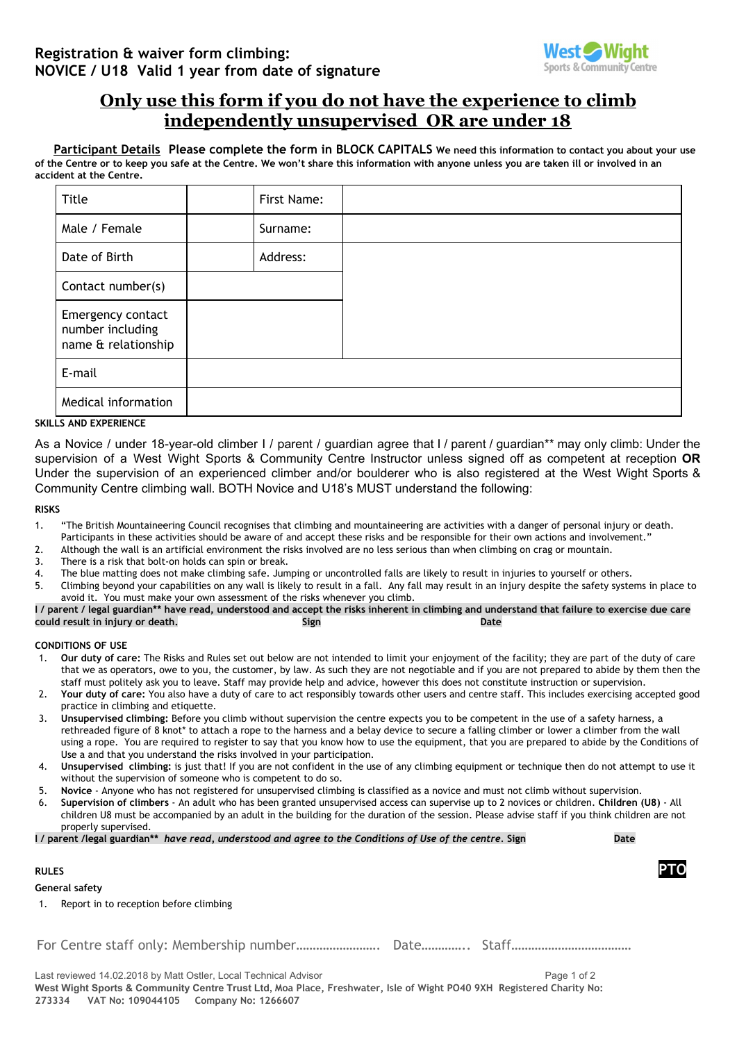

# **Only use this form if you do not have the experience to climb independently unsupervised OR are under 18**

Participant Details Please complete the form in BLOCK CAPITALS We need this information to contact you about your use of the Centre or to keep you safe at the Centre. We won't share this information with anyone unless you are taken ill or involved in an **accident at the Centre.**

| Title                                                        | First Name: |  |
|--------------------------------------------------------------|-------------|--|
| Male / Female                                                | Surname:    |  |
| Date of Birth                                                | Address:    |  |
| Contact number(s)                                            |             |  |
| Emergency contact<br>number including<br>name & relationship |             |  |
| E-mail                                                       |             |  |
| Medical information                                          |             |  |

# **SKILLS AND EXPERIENCE**

As a Novice / under 18-year-old climber I / parent / guardian agree that I / parent / guardian\*\* may only climb: Under the supervision of a West Wight Sports & Community Centre Instructor unless signed off as competent at reception **OR** Under the supervision of an experienced climber and/or boulderer who is also registered at the West Wight Sports & Community Centre climbing wall. BOTH Novice and U18's MUST understand the following:

# **RISKS**

Gene

- 1. "The British Mountaineering Council recognises that climbing and mountaineering are activities with a danger of personal injury or death. Participants in these activities should be aware of and accept these risks and be responsible for their own actions and involvement."
- 2. Although the wall is an artificial environment the risks involved are no less serious than when climbing on crag or mountain.
- 3. There is a risk that bolt-on holds can spin or break.
- 4. The blue matting does not make climbing safe. Jumping or uncontrolled falls are likely to result in injuries to yourself or others.
- 5. Climbing beyond your capabilities on any wall is likely to result in a fall. Any fall may result in an injury despite the safety systems in place to avoid it. You must make your own assessment of the risks whenever you climb.

I / parent / legal guardian\*\* have read, understood and accept the risks inherent in climbing and understand that failure to exercise due care **could result in injury or death. Sign Date**

## **CONDITIONS OF USE**

- 1. **Our duty of care:** The Risks and Rules set out below are not intended to limit your enjoyment of the facility; they are part of the duty of care that we as operators, owe to you, the customer, by law. As such they are not negotiable and if you are not prepared to abide by them then the staff must politely ask you to leave. Staff may provide help and advice, however this does not constitute instruction or supervision.
- 2. **Your duty of care:** You also have a duty of care to act responsibly towards other users and centre staff. This includes exercising accepted good practice in climbing and etiquette.
- 3. **Unsupervised climbing:** Before you climb without supervision the centre expects you to be competent in the use of a safety harness, a rethreaded figure of 8 knot\* to attach a rope to the harness and a belay device to secure a falling climber or lower a climber from the wall using a rope. You are required to register to say that you know how to use the equipment, that you are prepared to abide by the Conditions of Use a and that you understand the risks involved in your participation.
- 4. **Unsupervised climbing:** is just that! If you are not confident in the use of any climbing equipment or technique then do not attempt to use it without the supervision of someone who is competent to do so.
- 5. **Novice** Anyone who has not registered for unsupervised climbing is classified as a novice and must not climb without supervision.
- 6. **Supervision of climbers** An adult who has been granted unsupervised access can supervise up to 2 novices or children. **Children (U8)** All children U8 must be accompanied by an adult in the building for the duration of the session. Please advise staff if you think children are not properly supervised.

|  | I / parent /legal guardian** have read, understood and agree to the Conditions of Use of the centre. Sign | Date |
|--|-----------------------------------------------------------------------------------------------------------|------|
|  |                                                                                                           |      |

| <b>RULES</b>                                                                    |  |
|---------------------------------------------------------------------------------|--|
| General safety                                                                  |  |
| 1. Report in to reception before climbing                                       |  |
|                                                                                 |  |
| Last reviewed 14.02.2018 by Matt Ostler, Local Technical Advisor<br>Page 1 of 2 |  |

West Wight Sports & Community Centre Trust Ltd, Moa Place, Freshwater, Isle of Wight PO40 9XH Registered Charity No: **273334 VAT No: 109044105 Company No: 1266607**